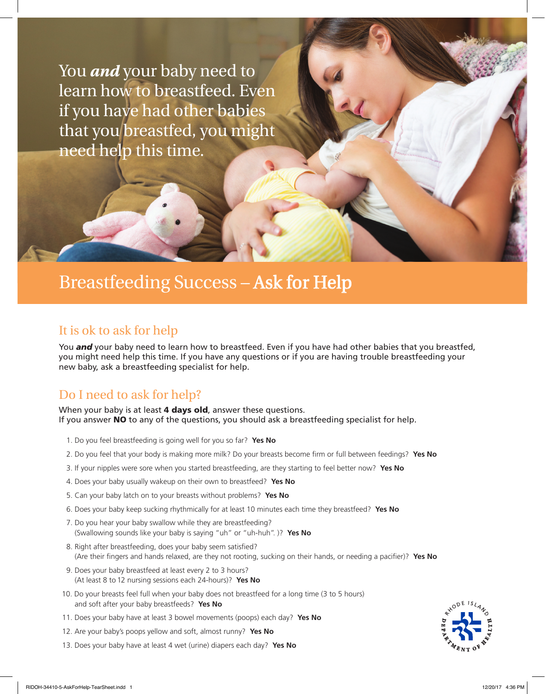You *and* your baby need to learn how to breastfeed. Even if you have had other babies that you breastfed, you might need help this time.

# Breastfeeding Success – Ask for Help

#### It is ok to ask for help

You **and** your baby need to learn how to breastfeed. Even if you have had other babies that you breastfed, you might need help this time. If you have any questions or if you are having trouble breastfeeding your new baby, ask a breastfeeding specialist for help.

## Do I need to ask for help?

When your baby is at least 4 days old, answer these questions. If you answer NO to any of the questions, you should ask a breastfeeding specialist for help.

- 1. Do you feel breastfeeding is going well for you so far? **Yes No**
- 2. Do you feel that your body is making more milk? Do your breasts become firm or full between feedings? **Yes No**
- 3. If your nipples were sore when you started breastfeeding, are they starting to feel better now? **Yes No**
- 4. Does your baby usually wakeup on their own to breastfeed? **Yes No**
- 5. Can your baby latch on to your breasts without problems? **Yes No**
- 6. Does your baby keep sucking rhythmically for at least 10 minutes each time they breastfeed? **Yes No**
- 7. Do you hear your baby swallow while they are breastfeeding? (Swallowing sounds like your baby is saying "uh" or "uh-huh". )? **Yes No**
- 8. Right after breastfeeding, does your baby seem satisfied? (Are their fingers and hands relaxed, are they not rooting, sucking on their hands, or needing a pacifier)? **Yes No**
- 9. Does your baby breastfeed at least every 2 to 3 hours? (At least 8 to 12 nursing sessions each 24-hours)? **Yes No**
- 10. Do your breasts feel full when your baby does not breastfeed for a long time (3 to 5 hours) and soft after your baby breastfeeds? **Yes No**
- 11. Does your baby have at least 3 bowel movements (poops) each day? **Yes No**
- 12. Are your baby's poops yellow and soft, almost runny? **Yes No**
- 13. Does your baby have at least 4 wet (urine) diapers each day? **Yes No**